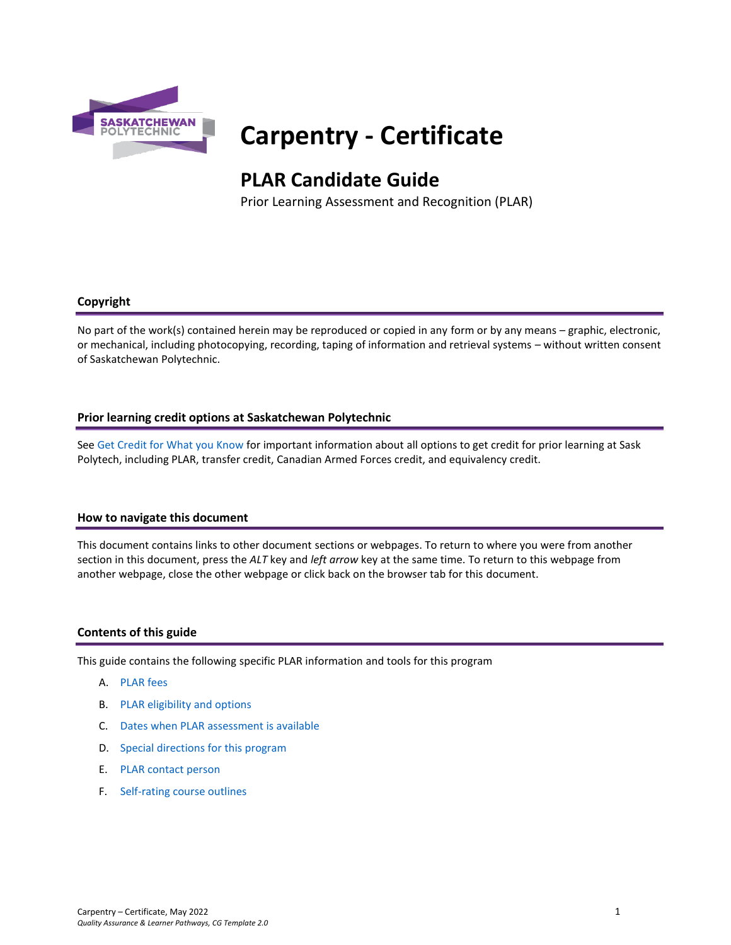

# **Carpentry - Certificate**

## **PLAR Candidate Guide**

Prior Learning Assessment and Recognition (PLAR)

## **Copyright**

No part of the work(s) contained herein may be reproduced or copied in any form or by any means – graphic, electronic, or mechanical, including photocopying, recording, taping of information and retrieval systems – without written consent of Saskatchewan Polytechnic.

## **Prior learning credit options at Saskatchewan Polytechnic**

Se[e Get Credit for What you Know](https://saskpolytech.ca/admissions/get-credit/) for important information about all options to get credit for prior learning at Sask Polytech, including PLAR, transfer credit, Canadian Armed Forces credit, and equivalency credit.

#### **How to navigate this document**

This document contains links to other document sections or webpages. To return to where you were from another section in this document, press the *ALT* key and *left arrow* key at the same time. To return to this webpage from another webpage, close the other webpage or click back on the browser tab for this document.

#### **Contents of this guide**

This guide contains the following specific PLAR information and tools for this program

- A. [PLAR fees](#page-1-0)
- B. [PLAR eligibility and options](#page-1-1)
- C. [Dates when PLAR assessment is available](#page-1-2)
- D. [Special directions for this program](#page-1-3)
- E. PLAR [contact person](#page-2-0)
- F. [Self-rating course outlines](#page-2-1)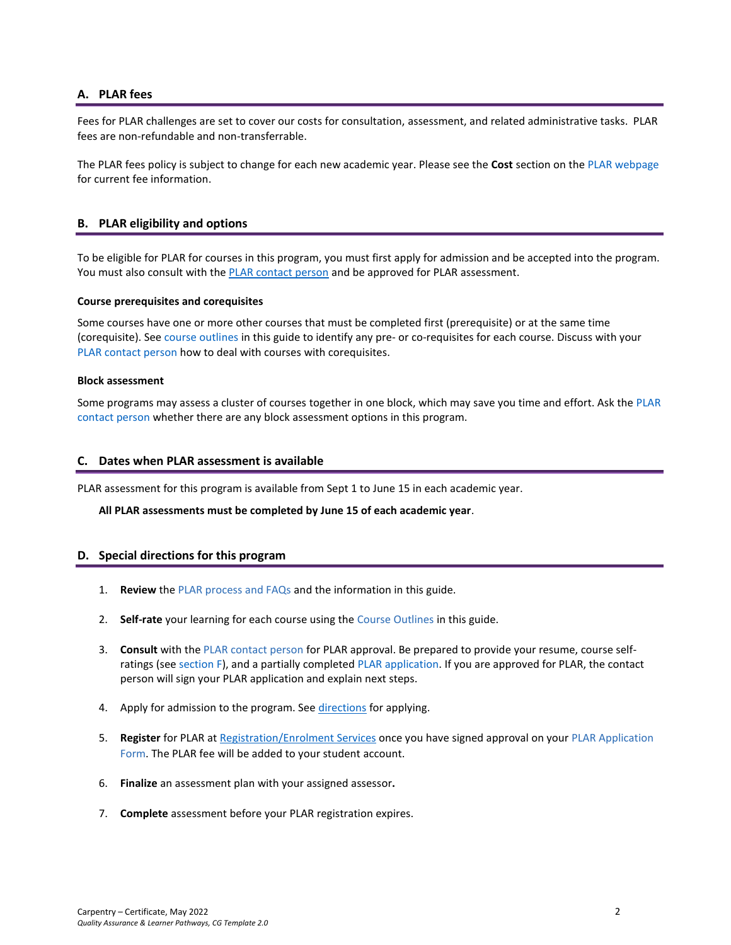## <span id="page-1-0"></span>**A. PLAR fees**

Fees for PLAR challenges are set to cover our costs for consultation, assessment, and related administrative tasks. PLAR fees are non-refundable and non-transferrable.

<span id="page-1-1"></span>The PLAR fees policy is subject to change for each new academic year. Please see the **Cost** section on th[e PLAR webpage](https://saskpolytech.ca/admissions/get-credit/plar.aspx) for current fee information.

## **B. PLAR eligibility and options**

To be eligible for PLAR for courses in this program, you must first apply for admission and be accepted into the program. You must also consult with th[e PLAR contact person](bookmark://PLAR_contact/) and be approved for PLAR assessment.

#### **Course prerequisites and corequisites**

Some courses have one or more other courses that must be completed first (prerequisite) or at the same time (corequisite). See course outlines in this guide to identify any pre- or co-requisites for each course. Discuss with your [PLAR contact person](#page-2-0) how to deal with courses with corequisites.

#### **Block assessment**

<span id="page-1-2"></span>Some programs may assess a cluster of courses together in one block, which may save you time and effort. Ask the [PLAR](#page-2-0)  [contact person](#page-2-0) whether there are any block assessment options in this program.

#### **C. Dates when PLAR assessment is available**

PLAR assessment for this program is available from Sept 1 to June 15 in each academic year.

#### <span id="page-1-3"></span>**All PLAR assessments must be completed by June 15 of each academic year**.

#### **D. Special directions for this program**

- 1. **Review** the [PLAR process and FAQs](https://saskpolytech.ca/admissions/get-credit/plar.aspx) and the information in this guide.
- 2. **Self-rate** your learning for each course using the Course Outlines in this guide.
- 3. **Consult** with th[e PLAR contact person](#page-2-0) for PLAR approval. Be prepared to provide your resume, course selfratings (see section F), and a partially completed [PLAR application.](https://saskpolytech.ca/admissions/resources/documents/plar-application-form.pdf) If you are approved for PLAR, the contact person will sign your PLAR application and explain next steps.
- 4. Apply for admission to the program. See [directions](#page-1-3) for applying.
- 5. **Register** for PLAR at [Registration/Enrolment Services](https://saskpolytech.ca/admissions/resources/contact-us.aspx) once you have signed approval on your [PLAR Application](http://saskpolytech.ca/admissions/resources/documents/plar-application-form.pdf)  [Form.](http://saskpolytech.ca/admissions/resources/documents/plar-application-form.pdf) The PLAR fee will be added to your student account.
- 6. **Finalize** an assessment plan with your assigned assessor**.**
- 7. **Complete** assessment before your PLAR registration expires.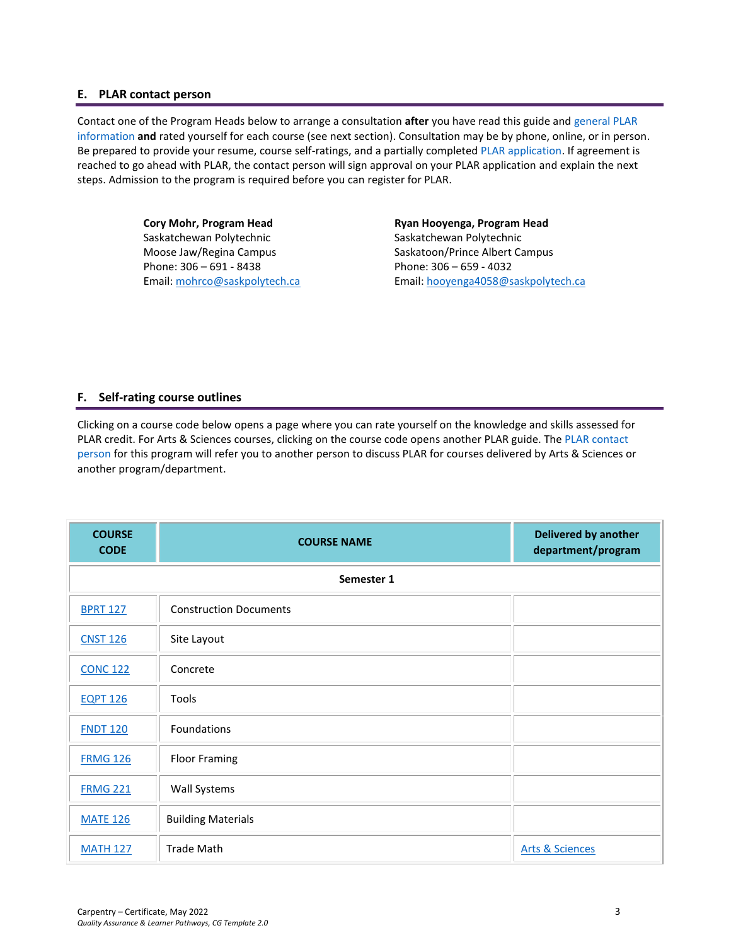#### <span id="page-2-0"></span>**E. PLAR contact person**

Contact one of the Program Heads below to arrange a consultation **after** you have read this guide and [general PLAR](http://saskpolytech.ca/admissions/resources/prior-learning-process.aspx)  [information](http://saskpolytech.ca/admissions/resources/prior-learning-process.aspx) **and** rated yourself for each course (see next section). Consultation may be by phone, online, or in person. Be prepared to provide your resume, course self-ratings, and a partially complete[d PLAR application.](https://saskpolytech.ca/admissions/resources/documents/plar-application-form.pdf#search=PLAR%20application) If agreement is reached to go ahead with PLAR, the contact person will sign approval on your PLAR application and explain the next steps. Admission to the program is required before you can register for PLAR.

> **Cory Mohr, Program Head** Saskatchewan Polytechnic Moose Jaw/Regina Campus Phone: 306 – 691 - 8438 Email[: mohrco@saskpolytech.ca](mailto:mohrco@saskpolytech.ca)

**Ryan Hooyenga, Program Head** Saskatchewan Polytechnic Saskatoon/Prince Albert Campus Phone: 306 – 659 - 4032 Email[: hooyenga4058@saskpolytech.ca](mailto:hooyenga4058@saskpolytech.ca)

## <span id="page-2-1"></span>**F. Self-rating course outlines**

Clicking on a course code below opens a page where you can rate yourself on the knowledge and skills assessed for PLAR credit. For Arts & Sciences courses, clicking on the course code opens another PLAR guide. The PLAR contact [person](#page-2-0) for this program will refer you to another person to discuss PLAR for courses delivered by Arts & Sciences or another program/department.

| <b>COURSE</b><br><b>CODE</b> | <b>COURSE NAME</b>            | <b>Delivered by another</b><br>department/program |  |  |  |  |  |
|------------------------------|-------------------------------|---------------------------------------------------|--|--|--|--|--|
|                              | Semester 1                    |                                                   |  |  |  |  |  |
| <b>BPRT 127</b>              | <b>Construction Documents</b> |                                                   |  |  |  |  |  |
| <b>CNST 126</b>              | Site Layout                   |                                                   |  |  |  |  |  |
| <b>CONC 122</b>              | Concrete                      |                                                   |  |  |  |  |  |
| <b>EQPT 126</b>              | <b>Tools</b>                  |                                                   |  |  |  |  |  |
| <b>FNDT 120</b>              | Foundations                   |                                                   |  |  |  |  |  |
| <b>FRMG 126</b>              | <b>Floor Framing</b>          |                                                   |  |  |  |  |  |
| <b>FRMG 221</b>              | <b>Wall Systems</b>           |                                                   |  |  |  |  |  |
| <b>MATE 126</b>              | <b>Building Materials</b>     |                                                   |  |  |  |  |  |
| <b>MATH 127</b>              | <b>Trade Math</b>             | <b>Arts &amp; Sciences</b>                        |  |  |  |  |  |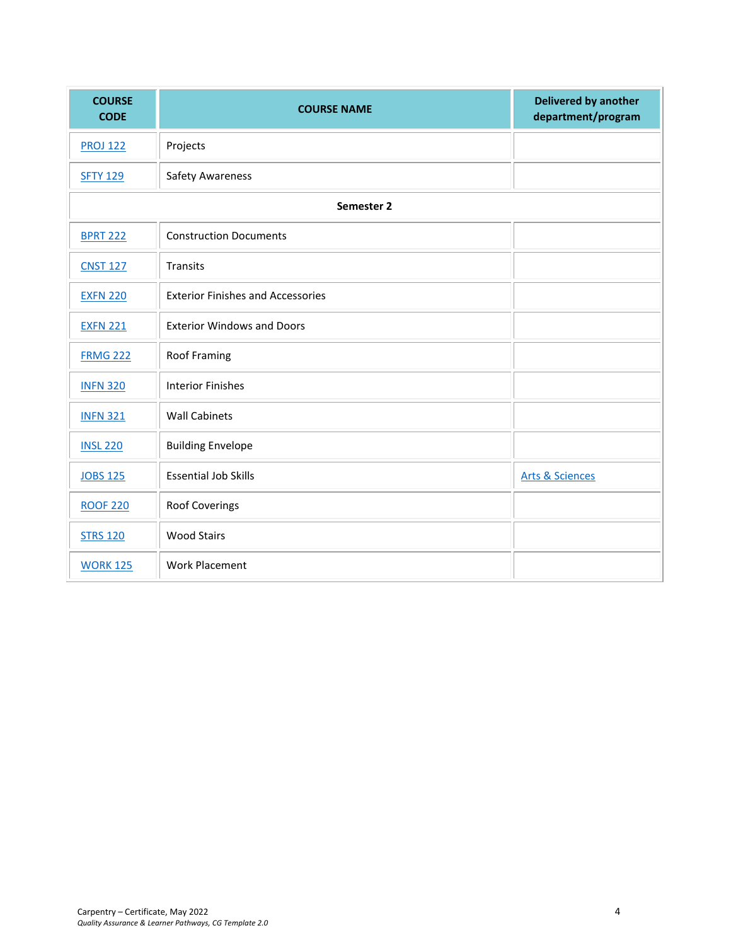| <b>COURSE</b><br><b>CODE</b> | <b>COURSE NAME</b>                       | <b>Delivered by another</b><br>department/program |
|------------------------------|------------------------------------------|---------------------------------------------------|
| <b>PROJ 122</b>              | Projects                                 |                                                   |
| <b>SFTY 129</b>              | <b>Safety Awareness</b>                  |                                                   |
|                              | Semester 2                               |                                                   |
| <b>BPRT 222</b>              | <b>Construction Documents</b>            |                                                   |
| <b>CNST 127</b>              | Transits                                 |                                                   |
| <b>EXFN 220</b>              | <b>Exterior Finishes and Accessories</b> |                                                   |
| <b>EXFN 221</b>              | <b>Exterior Windows and Doors</b>        |                                                   |
| <b>FRMG 222</b>              | <b>Roof Framing</b>                      |                                                   |
| <b>INFN 320</b>              | <b>Interior Finishes</b>                 |                                                   |
| <b>INFN 321</b>              | <b>Wall Cabinets</b>                     |                                                   |
| <b>INSL 220</b>              | <b>Building Envelope</b>                 |                                                   |
| <b>JOBS 125</b>              | <b>Essential Job Skills</b>              | <b>Arts &amp; Sciences</b>                        |
| <b>ROOF 220</b>              | Roof Coverings                           |                                                   |
| <b>STRS 120</b>              | <b>Wood Stairs</b>                       |                                                   |
| <b>WORK 125</b>              | <b>Work Placement</b>                    |                                                   |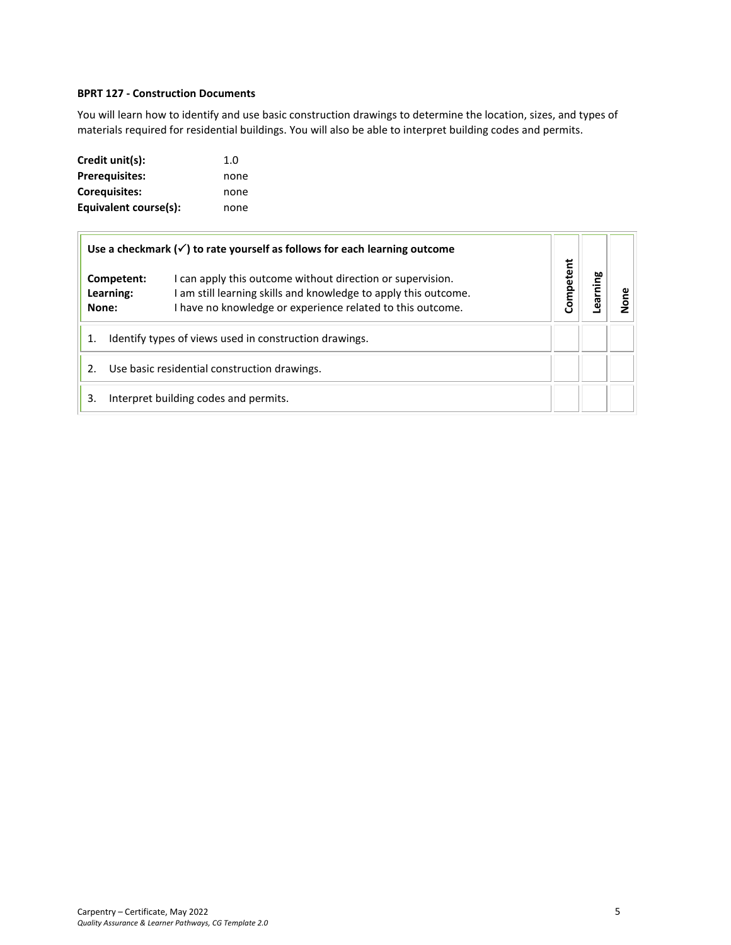## <span id="page-4-0"></span>**BPRT 127 - Construction Documents**

You will learn how to identify and use basic construction drawings to determine the location, sizes, and types of materials required for residential buildings. You will also be able to interpret building codes and permits.

| Credit unit(s):       | 1.0  |
|-----------------------|------|
| <b>Prerequisites:</b> | none |
| <b>Corequisites:</b>  | none |
| Equivalent course(s): | none |

|                                                              | Use a checkmark $(\checkmark)$ to rate yourself as follows for each learning outcome                                                                                                        |           |  |
|--------------------------------------------------------------|---------------------------------------------------------------------------------------------------------------------------------------------------------------------------------------------|-----------|--|
| Competent:<br>Learning:<br>None:                             | I can apply this outcome without direction or supervision.<br>I am still learning skills and knowledge to apply this outcome.<br>I have no knowledge or experience related to this outcome. | Competent |  |
| Identify types of views used in construction drawings.<br>1. |                                                                                                                                                                                             |           |  |
|                                                              | Use basic residential construction drawings.                                                                                                                                                |           |  |
| 3.                                                           | Interpret building codes and permits.                                                                                                                                                       |           |  |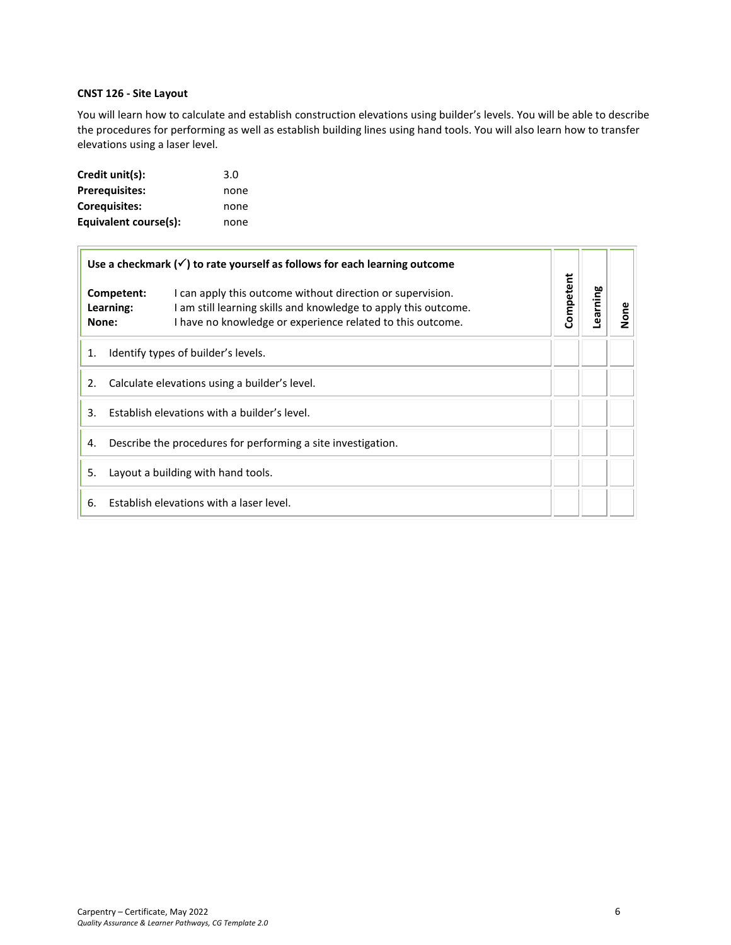## <span id="page-5-0"></span>**CNST 126 - Site Layout**

You will learn how to calculate and establish construction elevations using builder's levels. You will be able to describe the procedures for performing as well as establish building lines using hand tools. You will also learn how to transfer elevations using a laser level.

| Credit unit(s):       | 3.0  |
|-----------------------|------|
| <b>Prerequisites:</b> | none |
| Corequisites:         | none |
| Equivalent course(s): | none |

|    |                                  | Use a checkmark $(\checkmark)$ to rate yourself as follows for each learning outcome                                                                                                        |           |          |      |
|----|----------------------------------|---------------------------------------------------------------------------------------------------------------------------------------------------------------------------------------------|-----------|----------|------|
|    | Competent:<br>Learning:<br>None: | I can apply this outcome without direction or supervision.<br>I am still learning skills and knowledge to apply this outcome.<br>I have no knowledge or experience related to this outcome. | Competent | Learning | None |
| 1. |                                  | Identify types of builder's levels.                                                                                                                                                         |           |          |      |
| 2. |                                  | Calculate elevations using a builder's level.                                                                                                                                               |           |          |      |
| 3. |                                  | Establish elevations with a builder's level.                                                                                                                                                |           |          |      |
| 4. |                                  | Describe the procedures for performing a site investigation.                                                                                                                                |           |          |      |
| 5. |                                  | Layout a building with hand tools.                                                                                                                                                          |           |          |      |
| 6. |                                  | Establish elevations with a laser level.                                                                                                                                                    |           |          |      |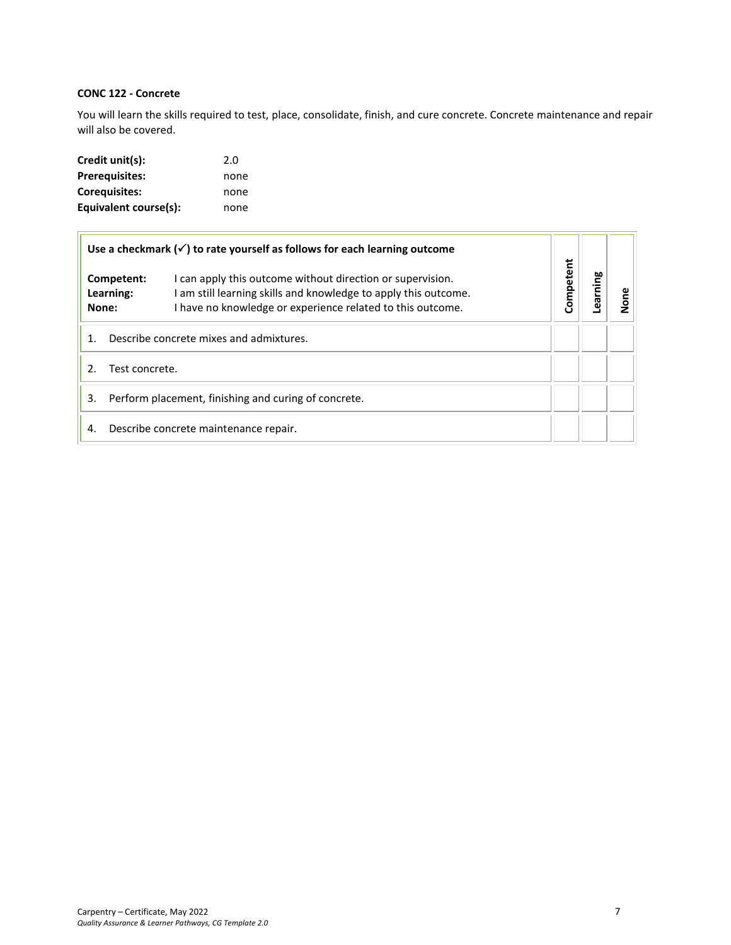## <span id="page-6-0"></span>**CONC 122 - Concrete**

You will learn the skills required to test, place, consolidate, finish, and cure concrete. Concrete maintenance and repair will also be covered.

| Credit unit(s):       | 2.0  |
|-----------------------|------|
| <b>Prerequisites:</b> | none |
| <b>Corequisites:</b>  | none |
| Equivalent course(s): | none |

|                                  | Use a checkmark $(\checkmark)$ to rate yourself as follows for each learning outcome                                                                                                        |           |         |      |
|----------------------------------|---------------------------------------------------------------------------------------------------------------------------------------------------------------------------------------------|-----------|---------|------|
| Competent:<br>Learning:<br>None: | I can apply this outcome without direction or supervision.<br>I am still learning skills and knowledge to apply this outcome.<br>I have no knowledge or experience related to this outcome. | Competent | earning | None |
|                                  | Describe concrete mixes and admixtures.                                                                                                                                                     |           |         |      |
| Test concrete.                   |                                                                                                                                                                                             |           |         |      |
| 3.                               | Perform placement, finishing and curing of concrete.                                                                                                                                        |           |         |      |
| 4.                               | Describe concrete maintenance repair.                                                                                                                                                       |           |         |      |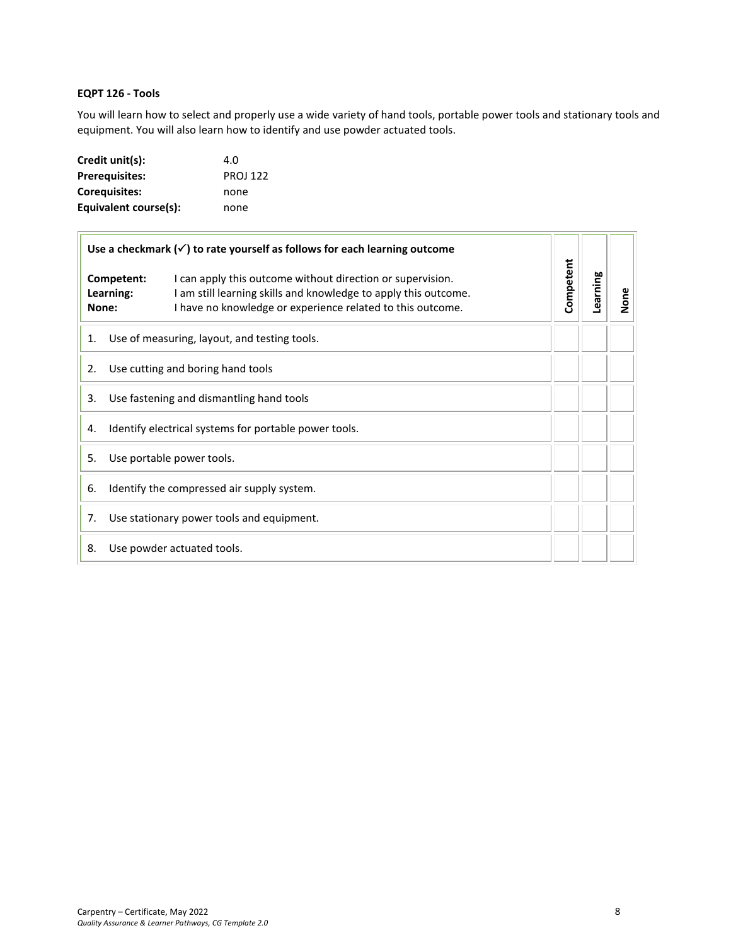## <span id="page-7-0"></span>**EQPT 126 - Tools**

You will learn how to select and properly use a wide variety of hand tools, portable power tools and stationary tools and equipment. You will also learn how to identify and use powder actuated tools.

| Credit unit(s):       | 4.0             |
|-----------------------|-----------------|
| <b>Prerequisites:</b> | <b>PROJ 122</b> |
| <b>Corequisites:</b>  | none            |
| Equivalent course(s): | none            |

|                                                             | Use a checkmark $(\checkmark)$ to rate yourself as follows for each learning outcome |                                                                                                                                                                                             |           |          |      |
|-------------------------------------------------------------|--------------------------------------------------------------------------------------|---------------------------------------------------------------------------------------------------------------------------------------------------------------------------------------------|-----------|----------|------|
|                                                             | Competent:<br>Learning:<br>None:                                                     | I can apply this outcome without direction or supervision.<br>I am still learning skills and knowledge to apply this outcome.<br>I have no knowledge or experience related to this outcome. | Competent | Learning | None |
| 1.                                                          |                                                                                      | Use of measuring, layout, and testing tools.                                                                                                                                                |           |          |      |
| 2.                                                          |                                                                                      | Use cutting and boring hand tools                                                                                                                                                           |           |          |      |
| 3.                                                          |                                                                                      | Use fastening and dismantling hand tools                                                                                                                                                    |           |          |      |
| Identify electrical systems for portable power tools.<br>4. |                                                                                      |                                                                                                                                                                                             |           |          |      |
| 5.                                                          |                                                                                      | Use portable power tools.                                                                                                                                                                   |           |          |      |
| 6.                                                          |                                                                                      | Identify the compressed air supply system.                                                                                                                                                  |           |          |      |
| 7.                                                          |                                                                                      | Use stationary power tools and equipment.                                                                                                                                                   |           |          |      |
| 8.                                                          |                                                                                      | Use powder actuated tools.                                                                                                                                                                  |           |          |      |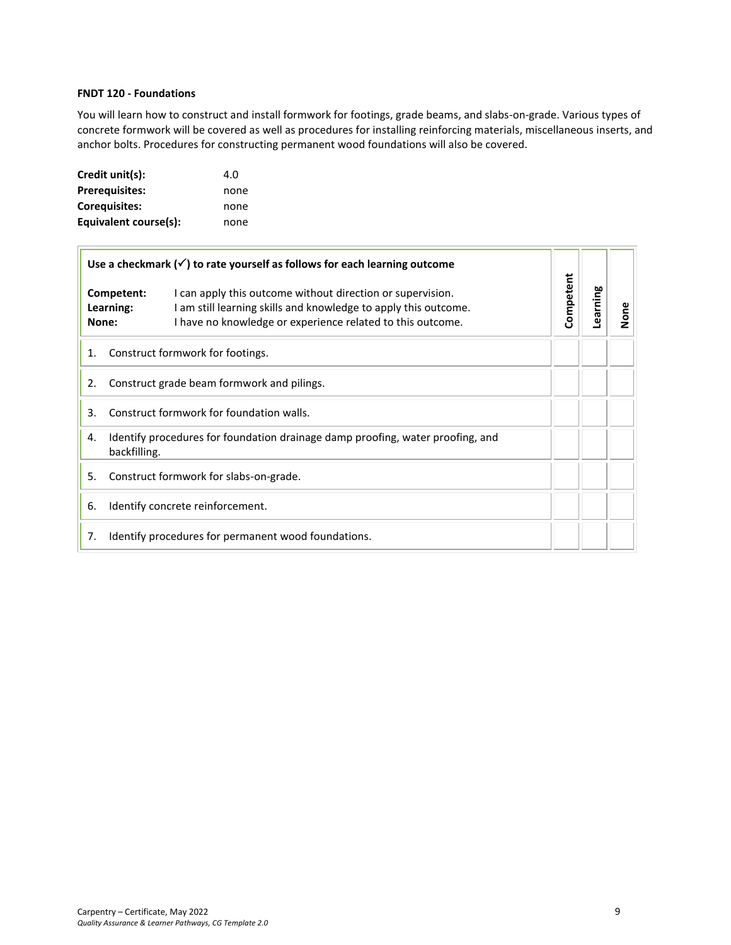## <span id="page-8-0"></span>**FNDT 120 - Foundations**

You will learn how to construct and install formwork for footings, grade beams, and slabs-on-grade. Various types of concrete formwork will be covered as well as procedures for installing reinforcing materials, miscellaneous inserts, and anchor bolts. Procedures for constructing permanent wood foundations will also be covered.

| Credit unit(s):       | 4.O  |
|-----------------------|------|
| <b>Prerequisites:</b> | none |
| <b>Corequisites:</b>  | none |
| Equivalent course(s): | none |

|       | Use a checkmark $(\checkmark)$ to rate yourself as follows for each learning outcome                                                                                                                                   |           | Learning |      |
|-------|------------------------------------------------------------------------------------------------------------------------------------------------------------------------------------------------------------------------|-----------|----------|------|
| None: | I can apply this outcome without direction or supervision.<br>Competent:<br>I am still learning skills and knowledge to apply this outcome.<br>Learning:<br>I have no knowledge or experience related to this outcome. | Competent |          | None |
| 1.    | Construct formwork for footings.                                                                                                                                                                                       |           |          |      |
| 2.    | Construct grade beam formwork and pilings.                                                                                                                                                                             |           |          |      |
| 3.    | Construct formwork for foundation walls.                                                                                                                                                                               |           |          |      |
| 4.    | Identify procedures for foundation drainage damp proofing, water proofing, and<br>backfilling.                                                                                                                         |           |          |      |
| 5.    | Construct formwork for slabs-on-grade.                                                                                                                                                                                 |           |          |      |
| 6.    | Identify concrete reinforcement.                                                                                                                                                                                       |           |          |      |
| 7.    | Identify procedures for permanent wood foundations.                                                                                                                                                                    |           |          |      |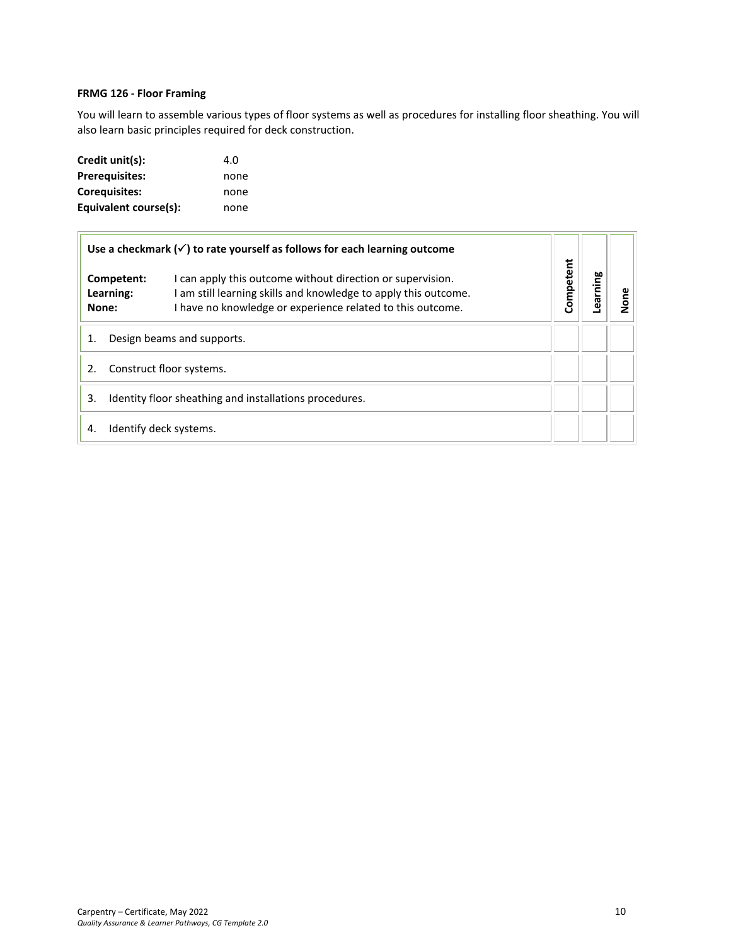## <span id="page-9-0"></span>**FRMG 126 - Floor Framing**

You will learn to assemble various types of floor systems as well as procedures for installing floor sheathing. You will also learn basic principles required for deck construction.

| Credit unit(s):       | 4.O  |
|-----------------------|------|
| <b>Prerequisites:</b> | none |
| Coreguisites:         | none |
| Equivalent course(s): | none |

| Use a checkmark $(\checkmark)$ to rate yourself as follows for each learning outcome |                                                                                                                                                                                             |           |         |      |
|--------------------------------------------------------------------------------------|---------------------------------------------------------------------------------------------------------------------------------------------------------------------------------------------|-----------|---------|------|
| Competent:<br>Learning:<br>None:                                                     | I can apply this outcome without direction or supervision.<br>I am still learning skills and knowledge to apply this outcome.<br>I have no knowledge or experience related to this outcome. | Competent | earning | None |
| Design beams and supports.                                                           |                                                                                                                                                                                             |           |         |      |
| Construct floor systems.                                                             |                                                                                                                                                                                             |           |         |      |
| Identity floor sheathing and installations procedures.<br>3.                         |                                                                                                                                                                                             |           |         |      |
| 4.                                                                                   | Identify deck systems.                                                                                                                                                                      |           |         |      |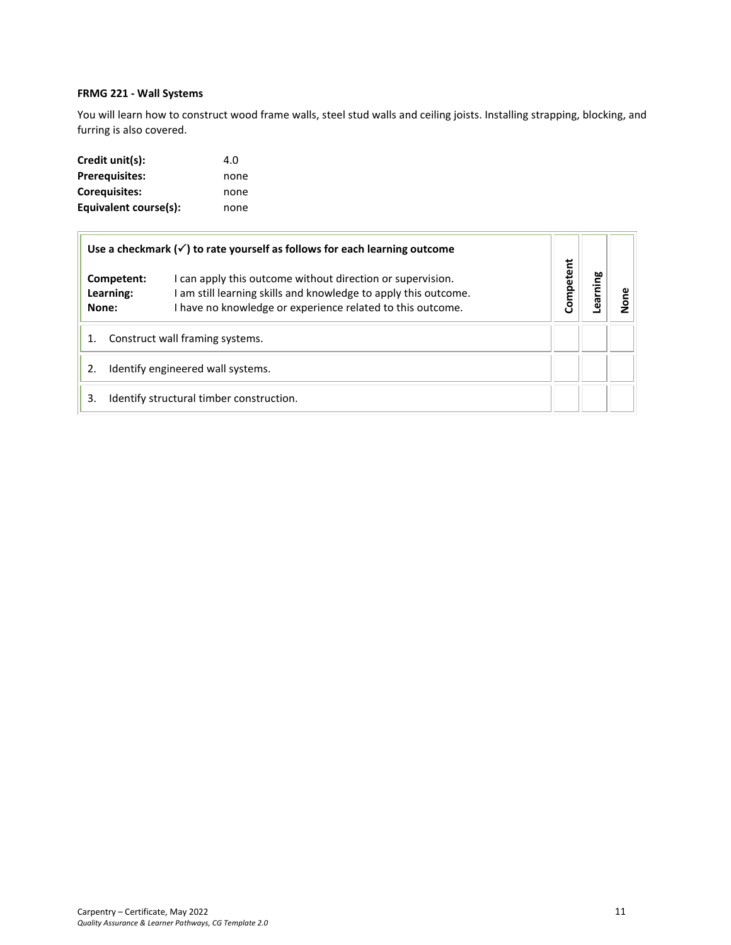## <span id="page-10-0"></span>**FRMG 221 - Wall Systems**

You will learn how to construct wood frame walls, steel stud walls and ceiling joists. Installing strapping, blocking, and furring is also covered.

| Credit unit(s):       | 4.O  |
|-----------------------|------|
| <b>Prerequisites:</b> | none |
| Coreguisites:         | none |
| Equivalent course(s): | none |

| Use a checkmark $(\checkmark)$ to rate yourself as follows for each learning outcome |                                                                                                                                                                                             |           |        |  |
|--------------------------------------------------------------------------------------|---------------------------------------------------------------------------------------------------------------------------------------------------------------------------------------------|-----------|--------|--|
| Competent:<br>Learning:<br>None:                                                     | I can apply this outcome without direction or supervision.<br>I am still learning skills and knowledge to apply this outcome.<br>I have no knowledge or experience related to this outcome. | Competent | arning |  |
| Construct wall framing systems.                                                      |                                                                                                                                                                                             |           |        |  |
| Identify engineered wall systems.                                                    |                                                                                                                                                                                             |           |        |  |
| 3.                                                                                   | Identify structural timber construction.                                                                                                                                                    |           |        |  |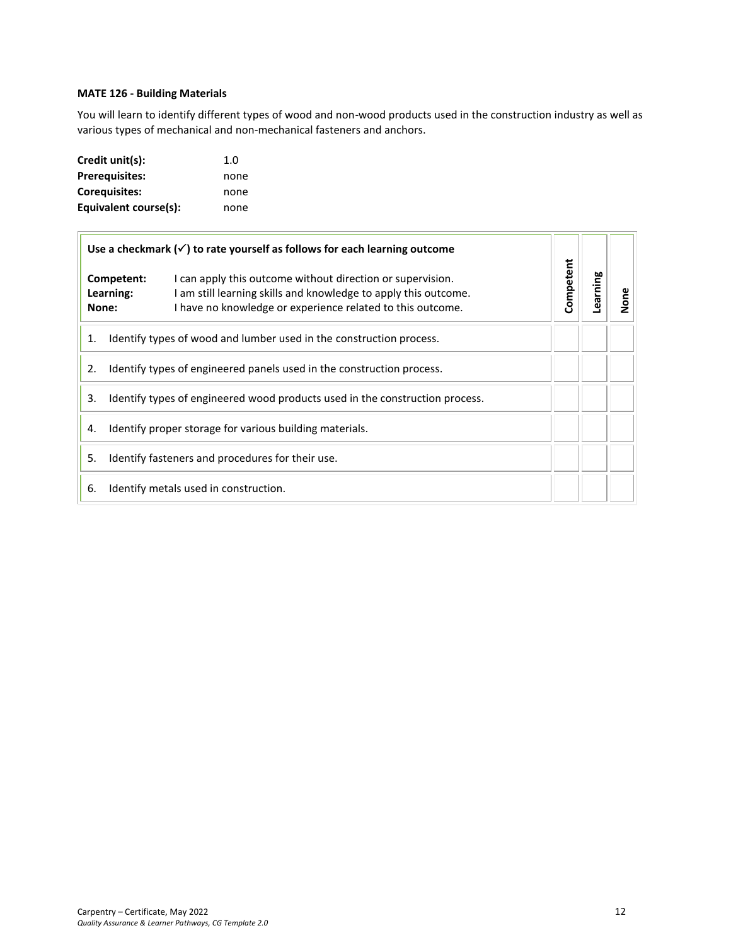## **MATE 126 - Building Materials**

You will learn to identify different types of wood and non-wood products used in the construction industry as well as various types of mechanical and non-mechanical fasteners and anchors.

| Credit unit(s):       | 1.0  |
|-----------------------|------|
| <b>Prerequisites:</b> | none |
| Corequisites:         | none |
| Equivalent course(s): | none |

| Use a checkmark $(\checkmark)$ to rate yourself as follows for each learning outcome |                                                                                                                                                                                                                                 |  |           |         |        |
|--------------------------------------------------------------------------------------|---------------------------------------------------------------------------------------------------------------------------------------------------------------------------------------------------------------------------------|--|-----------|---------|--------|
|                                                                                      | I can apply this outcome without direction or supervision.<br>Competent:<br>I am still learning skills and knowledge to apply this outcome.<br>Learning:<br>I have no knowledge or experience related to this outcome.<br>None: |  | Competent | earning | Σ<br>Σ |
| 1.                                                                                   | Identify types of wood and lumber used in the construction process.                                                                                                                                                             |  |           |         |        |
| Identify types of engineered panels used in the construction process.<br>2.          |                                                                                                                                                                                                                                 |  |           |         |        |
| 3.<br>Identify types of engineered wood products used in the construction process.   |                                                                                                                                                                                                                                 |  |           |         |        |
| Identify proper storage for various building materials.<br>4.                        |                                                                                                                                                                                                                                 |  |           |         |        |
| 5.<br>Identify fasteners and procedures for their use.                               |                                                                                                                                                                                                                                 |  |           |         |        |
| Identify metals used in construction.<br>6.                                          |                                                                                                                                                                                                                                 |  |           |         |        |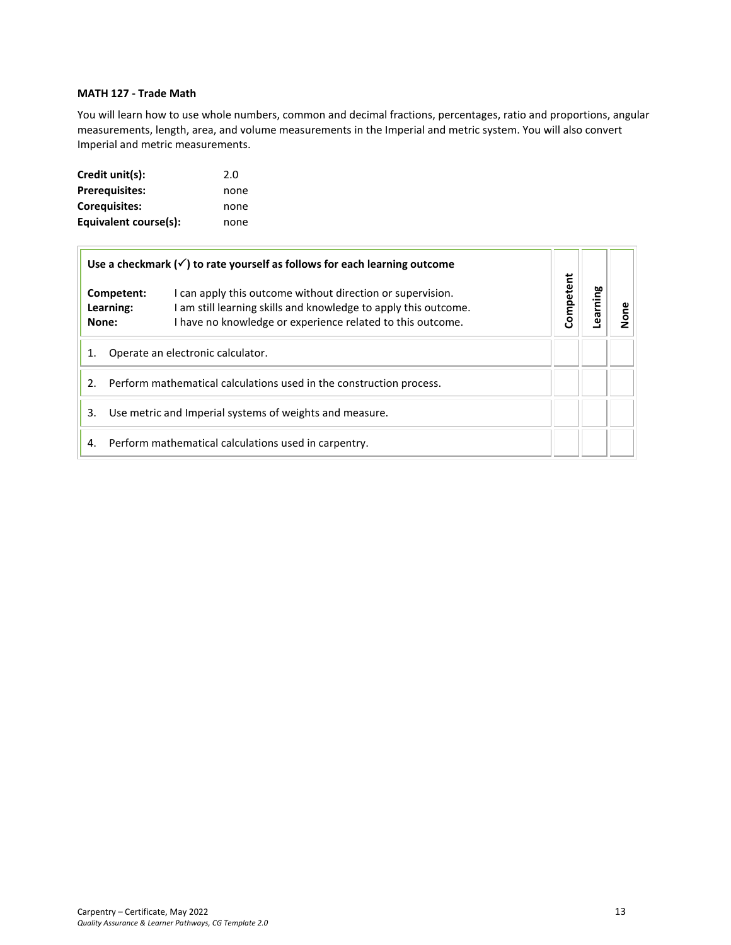## <span id="page-12-0"></span>**MATH 127 - Trade Math**

You will learn how to use whole numbers, common and decimal fractions, percentages, ratio and proportions, angular measurements, length, area, and volume measurements in the Imperial and metric system. You will also convert Imperial and metric measurements.

| Credit unit(s):       | 2.0  |
|-----------------------|------|
| <b>Prerequisites:</b> | none |
| Corequisites:         | none |
| Equivalent course(s): | none |

| Use a checkmark $(\checkmark)$ to rate yourself as follows for each learning outcome |                         |                                                                                                                                                                                           |           |         |      |
|--------------------------------------------------------------------------------------|-------------------------|-------------------------------------------------------------------------------------------------------------------------------------------------------------------------------------------|-----------|---------|------|
| None:                                                                                | Competent:<br>Learning: | I can apply this outcome without direction or supervision.<br>am still learning skills and knowledge to apply this outcome.<br>I have no knowledge or experience related to this outcome. | Competent | earning | lone |
| Operate an electronic calculator.<br>1.                                              |                         |                                                                                                                                                                                           |           |         |      |
| Perform mathematical calculations used in the construction process.<br>2.            |                         |                                                                                                                                                                                           |           |         |      |
| Use metric and Imperial systems of weights and measure.<br>3.                        |                         |                                                                                                                                                                                           |           |         |      |
| 4.                                                                                   |                         | Perform mathematical calculations used in carpentry.                                                                                                                                      |           |         |      |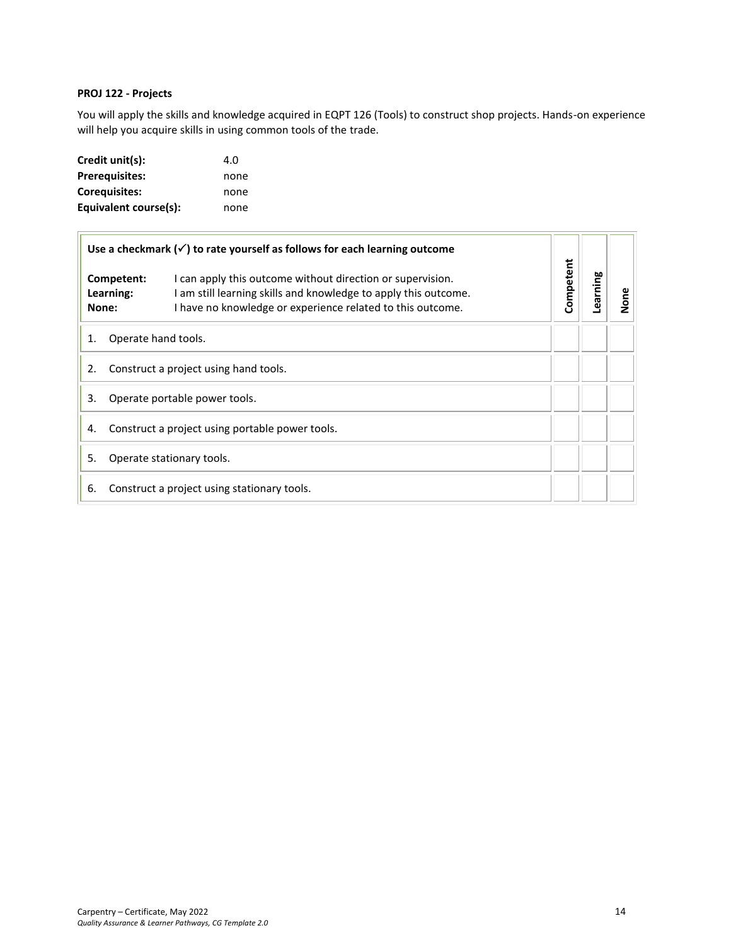## <span id="page-13-0"></span>**PROJ 122 - Projects**

You will apply the skills and knowledge acquired in EQPT 126 (Tools) to construct shop projects. Hands-on experience will help you acquire skills in using common tools of the trade.

| Credit unit(s):       | 4.O  |
|-----------------------|------|
| <b>Prerequisites:</b> | none |
| Coreguisites:         | none |
| Equivalent course(s): | none |

| Use a checkmark $(\checkmark)$ to rate yourself as follows for each learning outcome |                                  | Competent                                                                                                                                                                                   |  |         |         |
|--------------------------------------------------------------------------------------|----------------------------------|---------------------------------------------------------------------------------------------------------------------------------------------------------------------------------------------|--|---------|---------|
|                                                                                      | Competent:<br>Learning:<br>None: | I can apply this outcome without direction or supervision.<br>I am still learning skills and knowledge to apply this outcome.<br>I have no knowledge or experience related to this outcome. |  | earning | ος<br>2 |
| Operate hand tools.<br>1.                                                            |                                  |                                                                                                                                                                                             |  |         |         |
| 2.<br>Construct a project using hand tools.                                          |                                  |                                                                                                                                                                                             |  |         |         |
| 3.<br>Operate portable power tools.                                                  |                                  |                                                                                                                                                                                             |  |         |         |
| Construct a project using portable power tools.<br>4.                                |                                  |                                                                                                                                                                                             |  |         |         |
| 5.<br>Operate stationary tools.                                                      |                                  |                                                                                                                                                                                             |  |         |         |
| 6.                                                                                   |                                  | Construct a project using stationary tools.                                                                                                                                                 |  |         |         |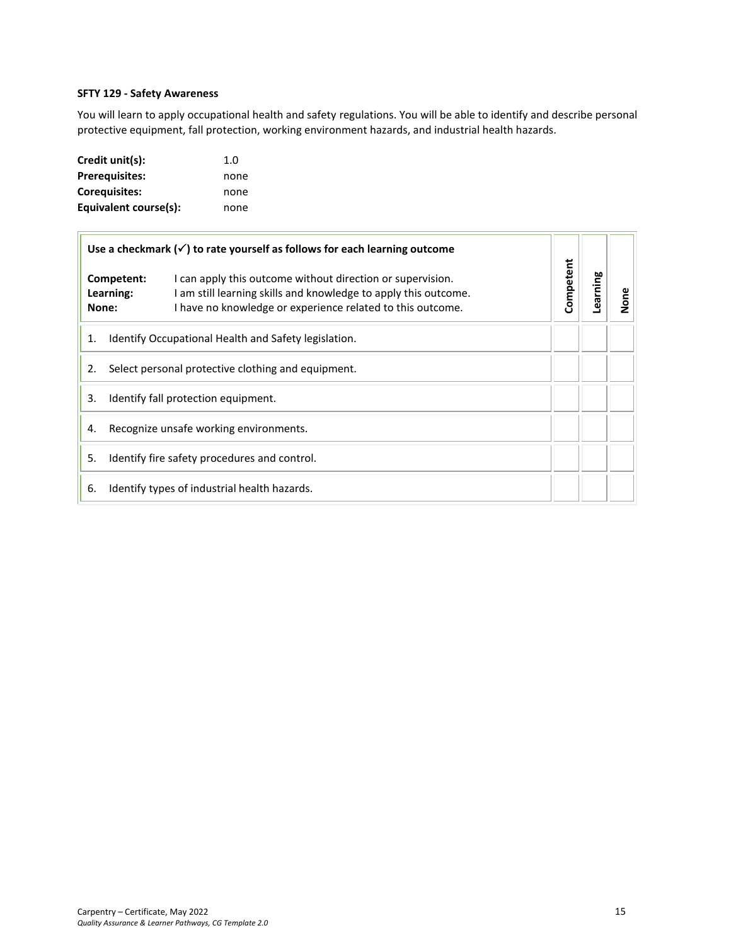## <span id="page-14-0"></span>**SFTY 129 - Safety Awareness**

You will learn to apply occupational health and safety regulations. You will be able to identify and describe personal protective equipment, fall protection, working environment hazards, and industrial health hazards.

| Credit unit(s):       | 1.0  |
|-----------------------|------|
| <b>Prerequisites:</b> | none |
| <b>Corequisites:</b>  | none |
| Equivalent course(s): | none |

| Use a checkmark $(\checkmark)$ to rate yourself as follows for each learning outcome |                                              |                                                                                                                                                                                             |           |         |      |
|--------------------------------------------------------------------------------------|----------------------------------------------|---------------------------------------------------------------------------------------------------------------------------------------------------------------------------------------------|-----------|---------|------|
|                                                                                      | Competent:<br>Learning:<br>None:             | I can apply this outcome without direction or supervision.<br>I am still learning skills and knowledge to apply this outcome.<br>I have no knowledge or experience related to this outcome. | Competent | earning | None |
| Identify Occupational Health and Safety legislation.<br>1.                           |                                              |                                                                                                                                                                                             |           |         |      |
| Select personal protective clothing and equipment.<br>2.                             |                                              |                                                                                                                                                                                             |           |         |      |
| 3.<br>Identify fall protection equipment.                                            |                                              |                                                                                                                                                                                             |           |         |      |
| Recognize unsafe working environments.<br>4.                                         |                                              |                                                                                                                                                                                             |           |         |      |
| 5.<br>Identify fire safety procedures and control.                                   |                                              |                                                                                                                                                                                             |           |         |      |
| 6.                                                                                   | Identify types of industrial health hazards. |                                                                                                                                                                                             |           |         |      |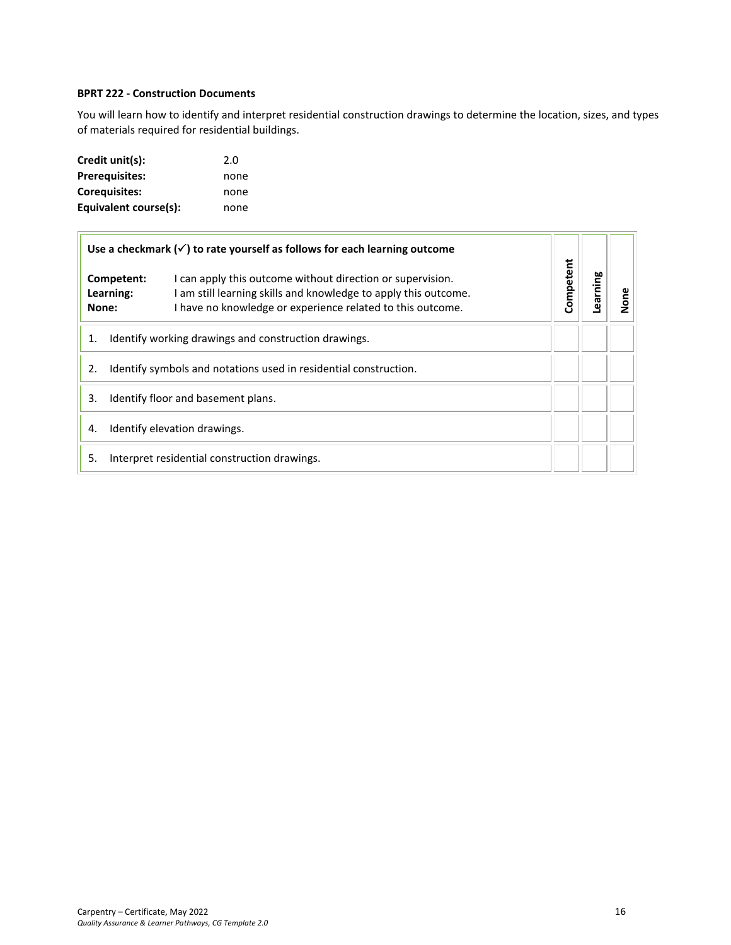## <span id="page-15-0"></span>**BPRT 222 - Construction Documents**

You will learn how to identify and interpret residential construction drawings to determine the location, sizes, and types of materials required for residential buildings.

| Credit unit(s):       | 2.0  |
|-----------------------|------|
| <b>Prerequisites:</b> | none |
| <b>Corequisites:</b>  | none |
| Equivalent course(s): | none |

|                                                                        | Use a checkmark $(\checkmark)$ to rate yourself as follows for each learning outcome                                                                                                                                   |           |         |      |
|------------------------------------------------------------------------|------------------------------------------------------------------------------------------------------------------------------------------------------------------------------------------------------------------------|-----------|---------|------|
| None:                                                                  | I can apply this outcome without direction or supervision.<br>Competent:<br>I am still learning skills and knowledge to apply this outcome.<br>Learning:<br>I have no knowledge or experience related to this outcome. | Competent | earning | None |
| 1.                                                                     | Identify working drawings and construction drawings.                                                                                                                                                                   |           |         |      |
| Identify symbols and notations used in residential construction.<br>2. |                                                                                                                                                                                                                        |           |         |      |
| Identify floor and basement plans.<br>3.                               |                                                                                                                                                                                                                        |           |         |      |
| Identify elevation drawings.<br>4.                                     |                                                                                                                                                                                                                        |           |         |      |
| 5.                                                                     | Interpret residential construction drawings.                                                                                                                                                                           |           |         |      |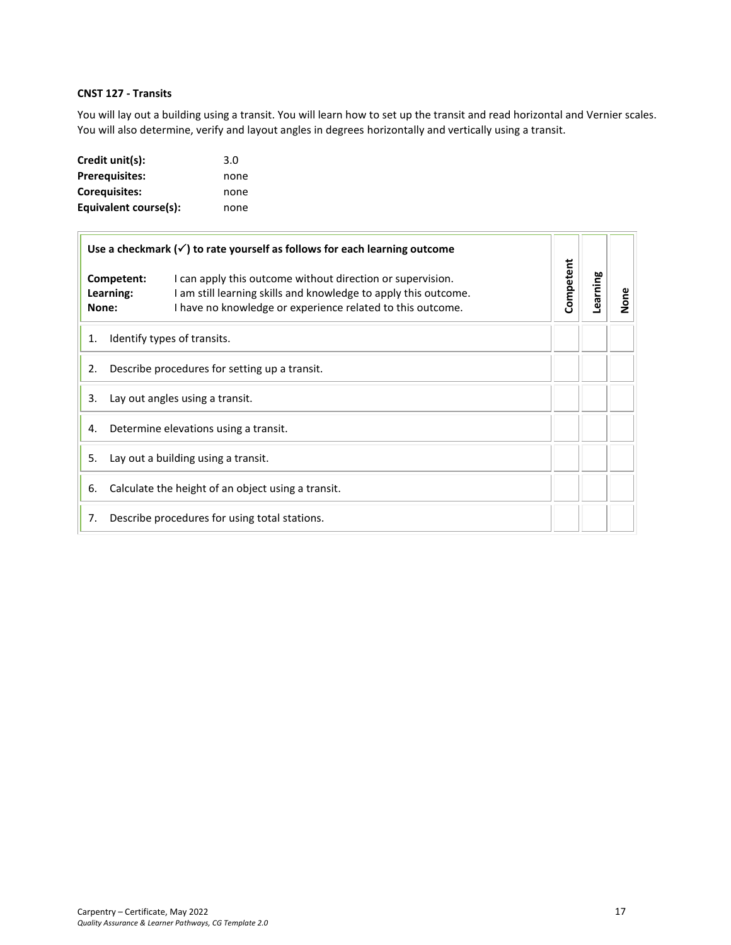## <span id="page-16-0"></span>**CNST 127 - Transits**

You will lay out a building using a transit. You will learn how to set up the transit and read horizontal and Vernier scales. You will also determine, verify and layout angles in degrees horizontally and vertically using a transit.

| Credit unit(s):       | 3.0  |
|-----------------------|------|
| <b>Prerequisites:</b> | none |
| <b>Corequisites:</b>  | none |
| Equivalent course(s): | none |

|                                                          | Use a checkmark $(\checkmark)$ to rate yourself as follows for each learning outcome                                                                                                                                   |           |          |      |
|----------------------------------------------------------|------------------------------------------------------------------------------------------------------------------------------------------------------------------------------------------------------------------------|-----------|----------|------|
| None:                                                    | I can apply this outcome without direction or supervision.<br>Competent:<br>I am still learning skills and knowledge to apply this outcome.<br>Learning:<br>I have no knowledge or experience related to this outcome. | Competent | Learning | None |
| Identify types of transits.<br>1.                        |                                                                                                                                                                                                                        |           |          |      |
| Describe procedures for setting up a transit.<br>2.      |                                                                                                                                                                                                                        |           |          |      |
| Lay out angles using a transit.<br>3.                    |                                                                                                                                                                                                                        |           |          |      |
| Determine elevations using a transit.<br>4.              |                                                                                                                                                                                                                        |           |          |      |
| Lay out a building using a transit.<br>5.                |                                                                                                                                                                                                                        |           |          |      |
| Calculate the height of an object using a transit.<br>6. |                                                                                                                                                                                                                        |           |          |      |
| 7.                                                       | Describe procedures for using total stations.                                                                                                                                                                          |           |          |      |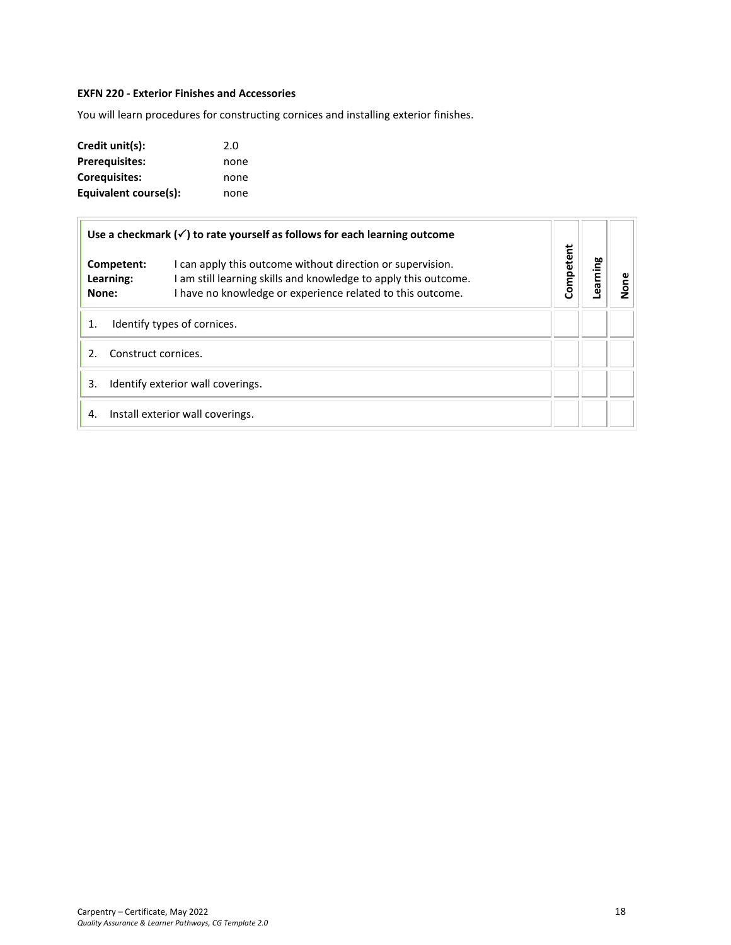## <span id="page-17-0"></span>**EXFN 220 - Exterior Finishes and Accessories**

You will learn procedures for constructing cornices and installing exterior finishes.

| Credit unit(s):       | 2.0  |
|-----------------------|------|
| <b>Prerequisites:</b> | none |
| Corequisites:         | none |
| Equivalent course(s): | none |

|         |                         | Use a checkmark $(\checkmark)$ to rate yourself as follows for each learning outcome                                                                                                        |           |          |      |
|---------|-------------------------|---------------------------------------------------------------------------------------------------------------------------------------------------------------------------------------------|-----------|----------|------|
| None:   | Competent:<br>Learning: | I can apply this outcome without direction or supervision.<br>I am still learning skills and knowledge to apply this outcome.<br>I have no knowledge or experience related to this outcome. | Competent | Learning | None |
| 1.      |                         | Identify types of cornices.                                                                                                                                                                 |           |          |      |
| $2_{-}$ | Construct cornices.     |                                                                                                                                                                                             |           |          |      |
| 3.      |                         | Identify exterior wall coverings.                                                                                                                                                           |           |          |      |
| 4.      |                         | Install exterior wall coverings.                                                                                                                                                            |           |          |      |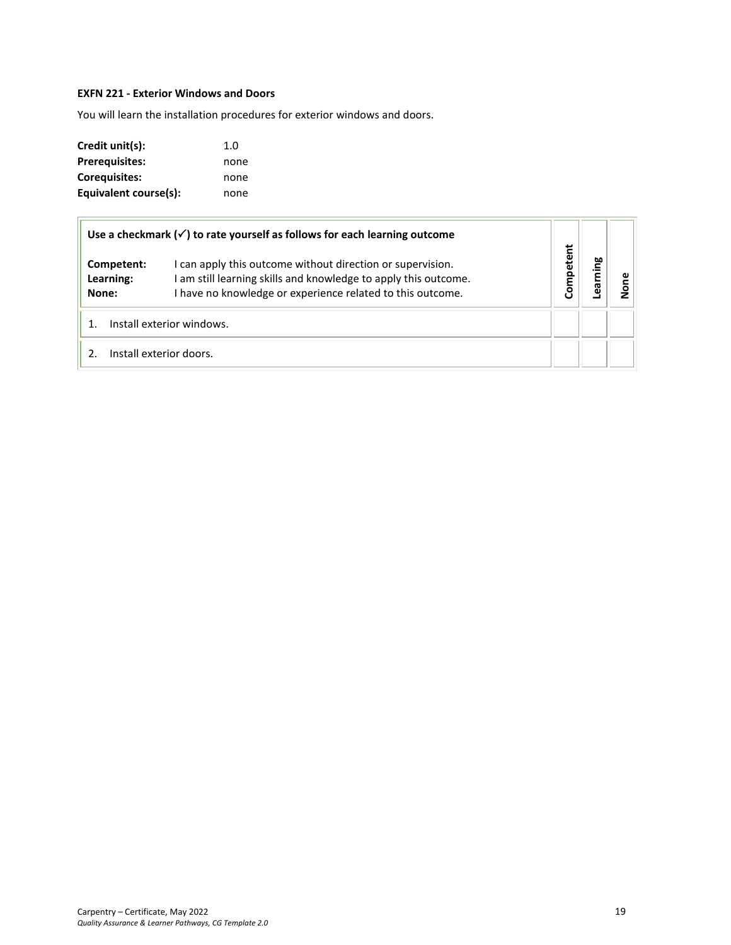## <span id="page-18-0"></span>**EXFN 221 - Exterior Windows and Doors**

You will learn the installation procedures for exterior windows and doors.

| Credit unit(s):       | 1.0  |
|-----------------------|------|
| <b>Prerequisites:</b> | none |
| Corequisites:         | none |
| Equivalent course(s): | none |

|                                  | Use a checkmark $(\check{\phantom{a}})$ to rate yourself as follows for each learning outcome                                                                                             |           |         |   |
|----------------------------------|-------------------------------------------------------------------------------------------------------------------------------------------------------------------------------------------|-----------|---------|---|
| Competent:<br>Learning:<br>None: | I can apply this outcome without direction or supervision.<br>am still learning skills and knowledge to apply this outcome.<br>I have no knowledge or experience related to this outcome. | Competent | earning | ă |
|                                  | Install exterior windows.                                                                                                                                                                 |           |         |   |
|                                  | Install exterior doors.                                                                                                                                                                   |           |         |   |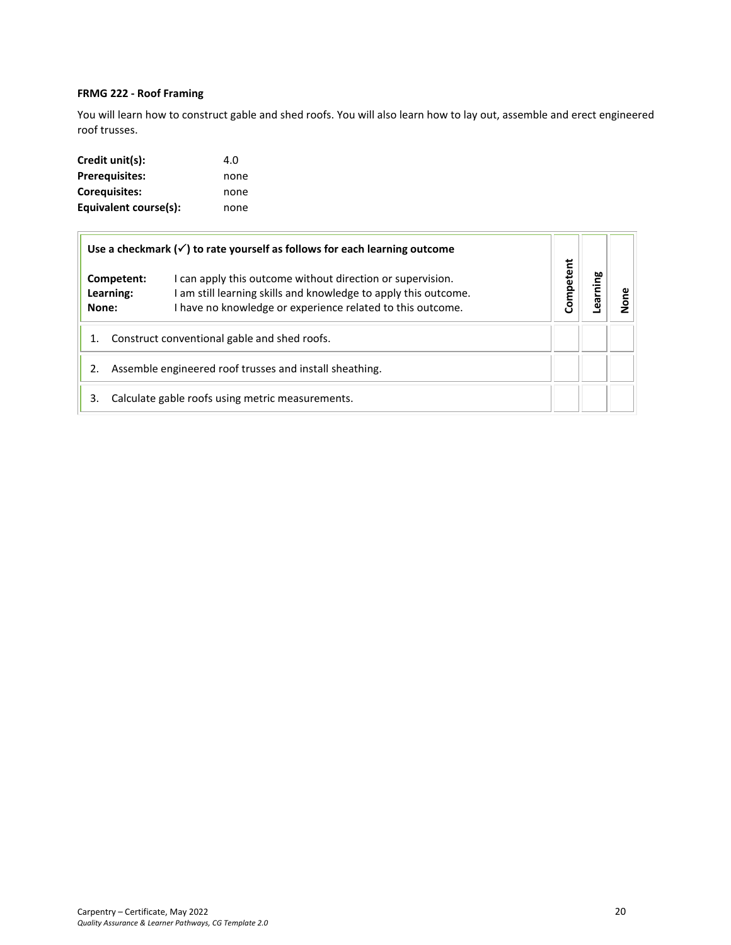## <span id="page-19-0"></span>**FRMG 222 - Roof Framing**

You will learn how to construct gable and shed roofs. You will also learn how to lay out, assemble and erect engineered roof trusses.

| Credit unit(s):       | 4.O  |
|-----------------------|------|
| <b>Prerequisites:</b> | none |
| Corequisites:         | none |
| Equivalent course(s): | none |

|                                                         | Use a checkmark $(\checkmark)$ to rate yourself as follows for each learning outcome                                                                                                        |           |    |  |
|---------------------------------------------------------|---------------------------------------------------------------------------------------------------------------------------------------------------------------------------------------------|-----------|----|--|
| Competent:<br>Learning:<br>None:                        | I can apply this outcome without direction or supervision.<br>I am still learning skills and knowledge to apply this outcome.<br>I have no knowledge or experience related to this outcome. | Competent | ဗူ |  |
| Construct conventional gable and shed roofs.            |                                                                                                                                                                                             |           |    |  |
| Assemble engineered roof trusses and install sheathing. |                                                                                                                                                                                             |           |    |  |
| 3.                                                      | Calculate gable roofs using metric measurements.                                                                                                                                            |           |    |  |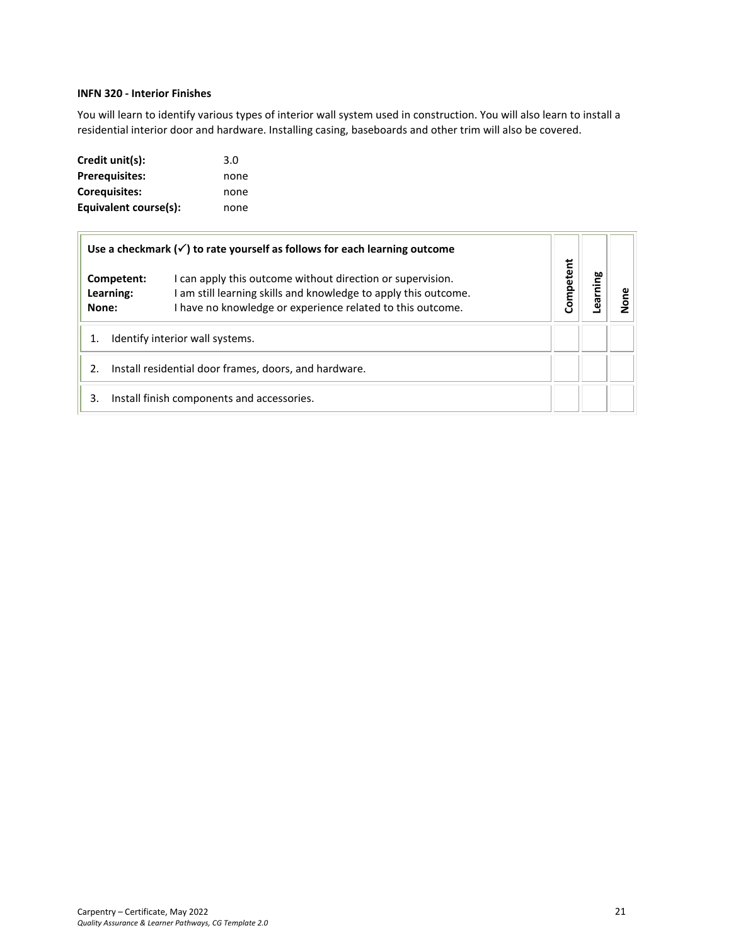## <span id="page-20-0"></span>**INFN 320 - Interior Finishes**

You will learn to identify various types of interior wall system used in construction. You will also learn to install a residential interior door and hardware. Installing casing, baseboards and other trim will also be covered.

| Credit unit(s):       | 3.0  |
|-----------------------|------|
| <b>Prerequisites:</b> | none |
| Coreguisites:         | none |
| Equivalent course(s): | none |

|                                                             |                         | Use a checkmark $(\checkmark)$ to rate yourself as follows for each learning outcome                                                                                                        |           |         |  |
|-------------------------------------------------------------|-------------------------|---------------------------------------------------------------------------------------------------------------------------------------------------------------------------------------------|-----------|---------|--|
| None:                                                       | Competent:<br>Learning: | I can apply this outcome without direction or supervision.<br>I am still learning skills and knowledge to apply this outcome.<br>I have no knowledge or experience related to this outcome. | Competent | ဗူ<br>Έ |  |
| Identify interior wall systems.                             |                         |                                                                                                                                                                                             |           |         |  |
| Install residential door frames, doors, and hardware.<br>2. |                         |                                                                                                                                                                                             |           |         |  |
| 3.                                                          |                         | Install finish components and accessories.                                                                                                                                                  |           |         |  |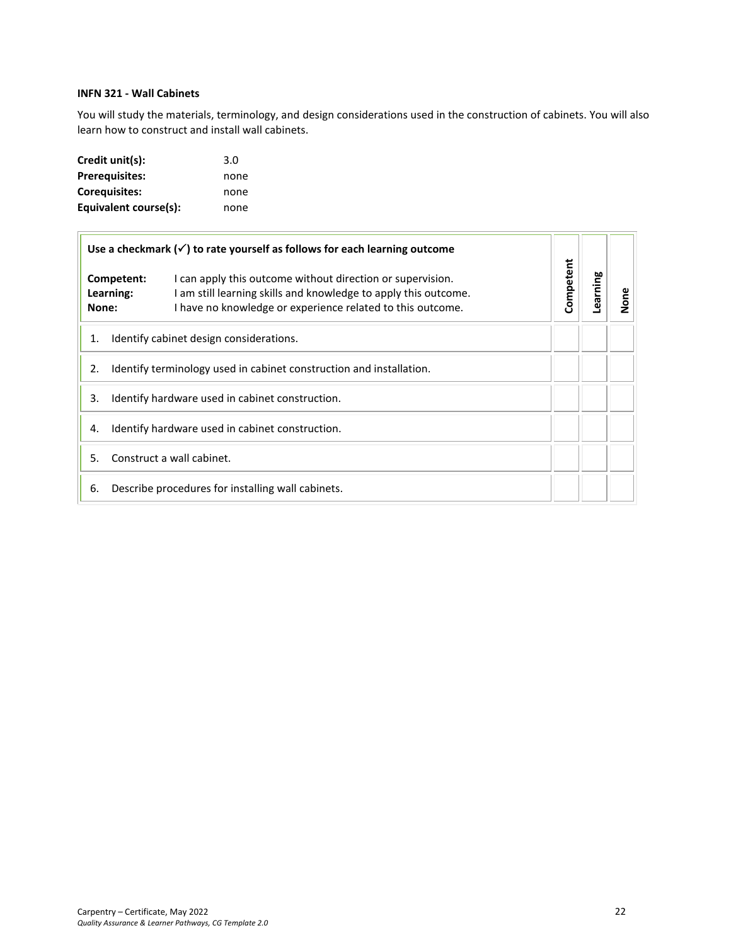## <span id="page-21-0"></span>**INFN 321 - Wall Cabinets**

You will study the materials, terminology, and design considerations used in the construction of cabinets. You will also learn how to construct and install wall cabinets.

| Credit unit(s):       | 3.0  |
|-----------------------|------|
| <b>Prerequisites:</b> | none |
| <b>Corequisites:</b>  | none |
| Equivalent course(s): | none |

| Use a checkmark $(\checkmark)$ to rate yourself as follows for each learning outcome |                                                                                                                                                                                                                        |           |          |      |
|--------------------------------------------------------------------------------------|------------------------------------------------------------------------------------------------------------------------------------------------------------------------------------------------------------------------|-----------|----------|------|
| None:                                                                                | I can apply this outcome without direction or supervision.<br>Competent:<br>I am still learning skills and knowledge to apply this outcome.<br>Learning:<br>I have no knowledge or experience related to this outcome. | Competent | earning- | None |
| 1.                                                                                   | Identify cabinet design considerations.                                                                                                                                                                                |           |          |      |
| 2.                                                                                   | Identify terminology used in cabinet construction and installation.                                                                                                                                                    |           |          |      |
| 3.                                                                                   | Identify hardware used in cabinet construction.                                                                                                                                                                        |           |          |      |
| 4.                                                                                   | Identify hardware used in cabinet construction.                                                                                                                                                                        |           |          |      |
| 5.                                                                                   | Construct a wall cabinet.                                                                                                                                                                                              |           |          |      |
| 6.                                                                                   | Describe procedures for installing wall cabinets.                                                                                                                                                                      |           |          |      |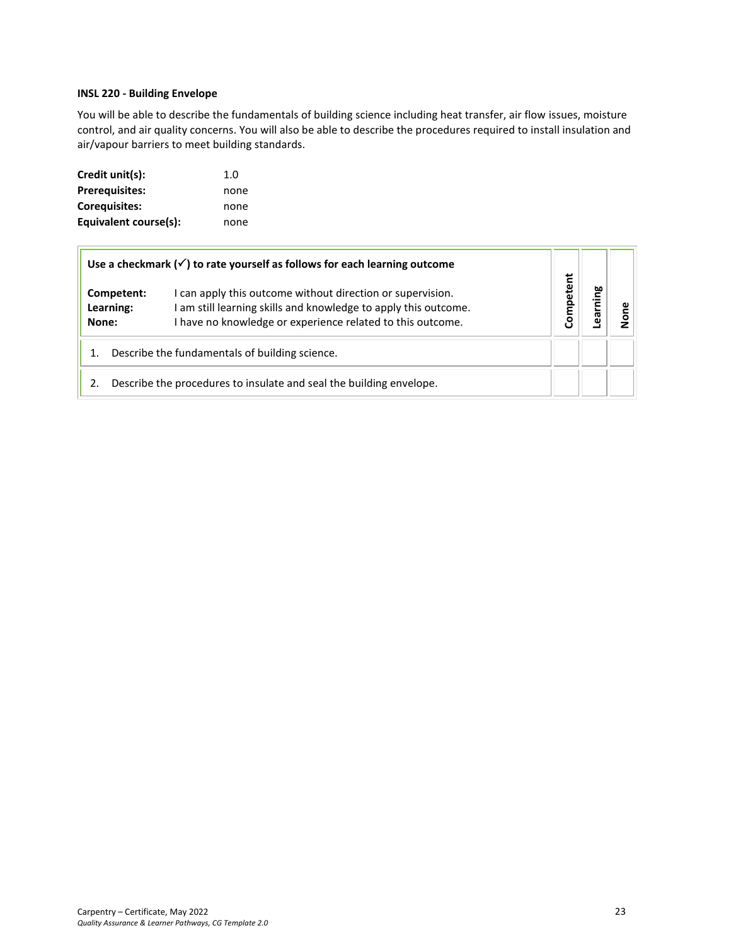## <span id="page-22-0"></span>**INSL 220 - Building Envelope**

You will be able to describe the fundamentals of building science including heat transfer, air flow issues, moisture control, and air quality concerns. You will also be able to describe the procedures required to install insulation and air/vapour barriers to meet building standards.

| Credit unit(s):       | 1.0  |
|-----------------------|------|
| <b>Prerequisites:</b> | none |
| Coreguisites:         | none |
| Equivalent course(s): | none |

|                                  | Use a checkmark $(\checkmark)$ to rate yourself as follows for each learning outcome                                                                                                        |                   |  |
|----------------------------------|---------------------------------------------------------------------------------------------------------------------------------------------------------------------------------------------|-------------------|--|
| Competent:<br>Learning:<br>None: | I can apply this outcome without direction or supervision.<br>I am still learning skills and knowledge to apply this outcome.<br>I have no knowledge or experience related to this outcome. | tent<br>ω<br>Comp |  |
|                                  | Describe the fundamentals of building science.                                                                                                                                              |                   |  |
|                                  | Describe the procedures to insulate and seal the building envelope.                                                                                                                         |                   |  |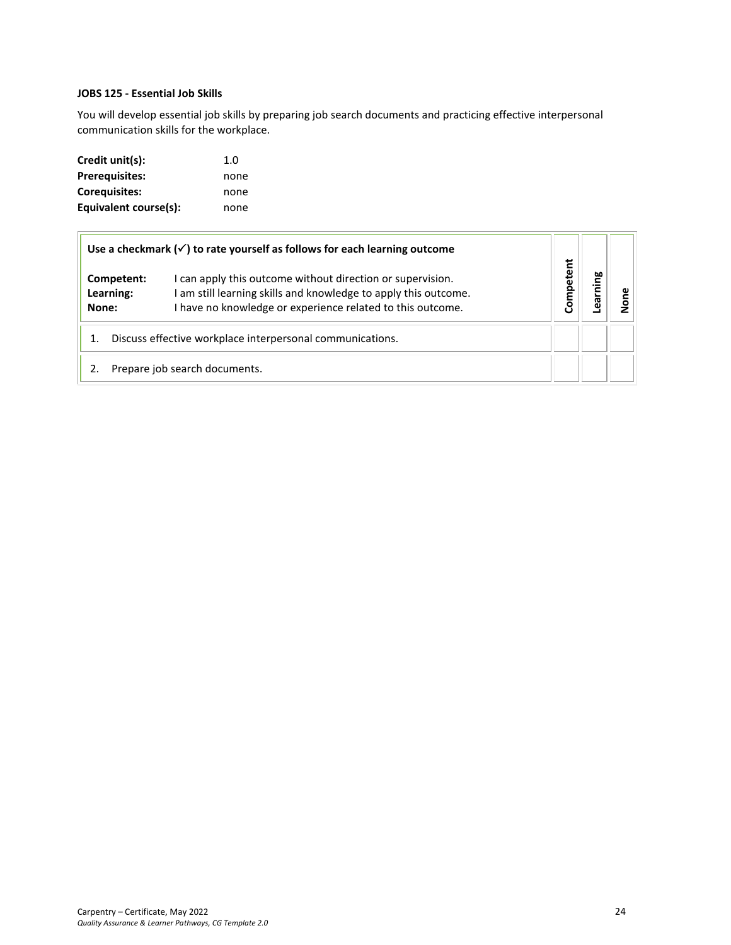### <span id="page-23-0"></span>**JOBS 125 - Essential Job Skills**

You will develop essential job skills by preparing job search documents and practicing effective interpersonal communication skills for the workplace.

| Credit unit(s):       | 1.0  |
|-----------------------|------|
| <b>Prerequisites:</b> | none |
| Corequisites:         | none |
| Equivalent course(s): | none |

|                                  | Use a checkmark $(\checkmark)$ to rate yourself as follows for each learning outcome                                                                                                        |          |      |  |
|----------------------------------|---------------------------------------------------------------------------------------------------------------------------------------------------------------------------------------------|----------|------|--|
| Competent:<br>Learning:<br>None: | I can apply this outcome without direction or supervision.<br>I am still learning skills and knowledge to apply this outcome.<br>I have no knowledge or experience related to this outcome. | ompetent | ning |  |
|                                  | Discuss effective workplace interpersonal communications.                                                                                                                                   |          |      |  |
|                                  | Prepare job search documents.                                                                                                                                                               |          |      |  |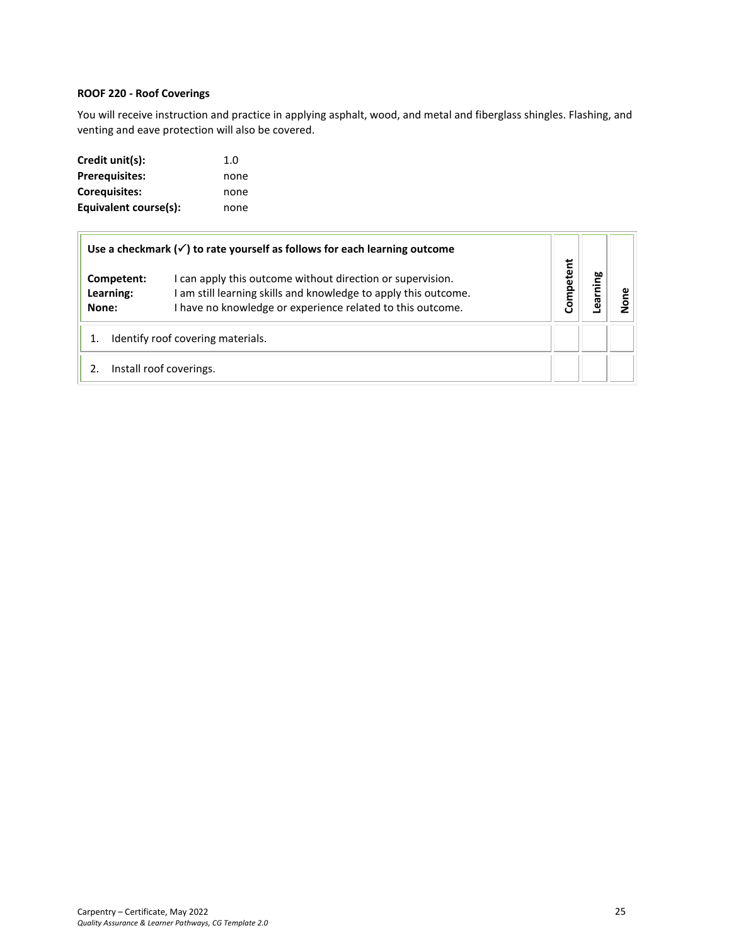## <span id="page-24-0"></span>**ROOF 220 - Roof Coverings**

You will receive instruction and practice in applying asphalt, wood, and metal and fiberglass shingles. Flashing, and venting and eave protection will also be covered.

| Credit unit(s):       | 1.0  |
|-----------------------|------|
| <b>Prerequisites:</b> | none |
| Coreguisites:         | none |
| Equivalent course(s): | none |

|                                  | Use a checkmark $(\checkmark)$ to rate yourself as follows for each learning outcome                                                                                                      |           |           |  |
|----------------------------------|-------------------------------------------------------------------------------------------------------------------------------------------------------------------------------------------|-----------|-----------|--|
| Competent:<br>Learning:<br>None: | can apply this outcome without direction or supervision.<br>I am still learning skills and knowledge to apply this outcome.<br>I have no knowledge or experience related to this outcome. | Competent | ning<br>등 |  |
|                                  | Identify roof covering materials.                                                                                                                                                         |           |           |  |
|                                  | Install roof coverings.                                                                                                                                                                   |           |           |  |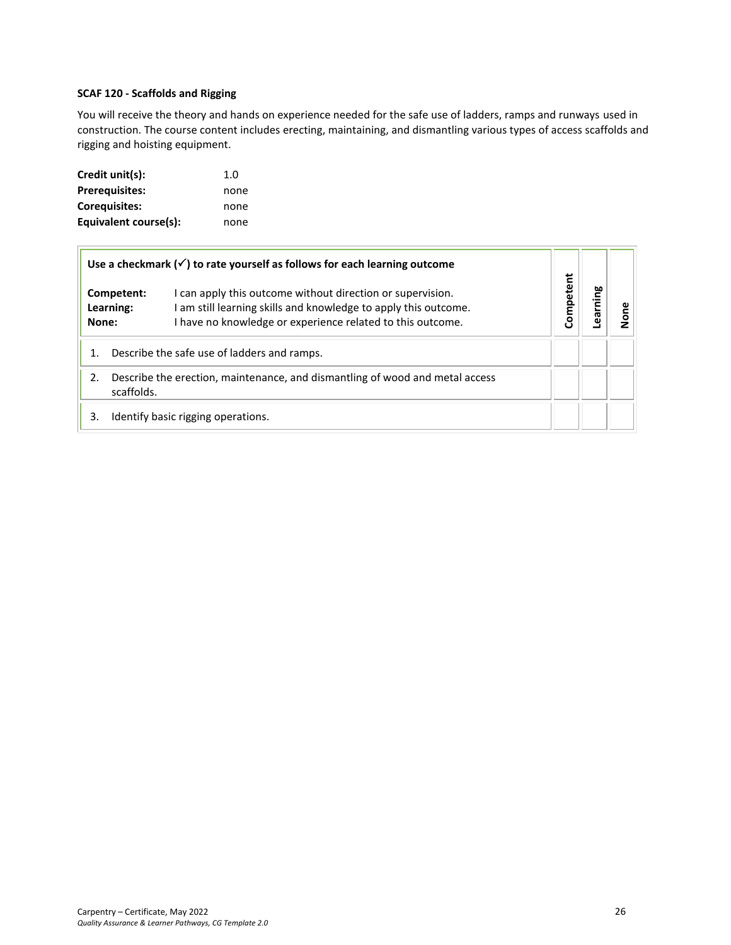## **SCAF 120 - Scaffolds and Rigging**

You will receive the theory and hands on experience needed for the safe use of ladders, ramps and runways used in construction. The course content includes erecting, maintaining, and dismantling various types of access scaffolds and rigging and hoisting equipment.

| Credit unit(s):       | 1.0  |
|-----------------------|------|
| <b>Prerequisites:</b> | none |
| Corequisites:         | none |
| Equivalent course(s): | none |

|       |                         | Use a checkmark $(\checkmark)$ to rate yourself as follows for each learning outcome                                                                                                        |           |         |      |
|-------|-------------------------|---------------------------------------------------------------------------------------------------------------------------------------------------------------------------------------------|-----------|---------|------|
| None: | Competent:<br>Learning: | I can apply this outcome without direction or supervision.<br>I am still learning skills and knowledge to apply this outcome.<br>I have no knowledge or experience related to this outcome. | Competent | earning | Jone |
| 1.    |                         | Describe the safe use of ladders and ramps.                                                                                                                                                 |           |         |      |
| 2.    | scaffolds.              | Describe the erection, maintenance, and dismantling of wood and metal access                                                                                                                |           |         |      |
| 3.    |                         | Identify basic rigging operations.                                                                                                                                                          |           |         |      |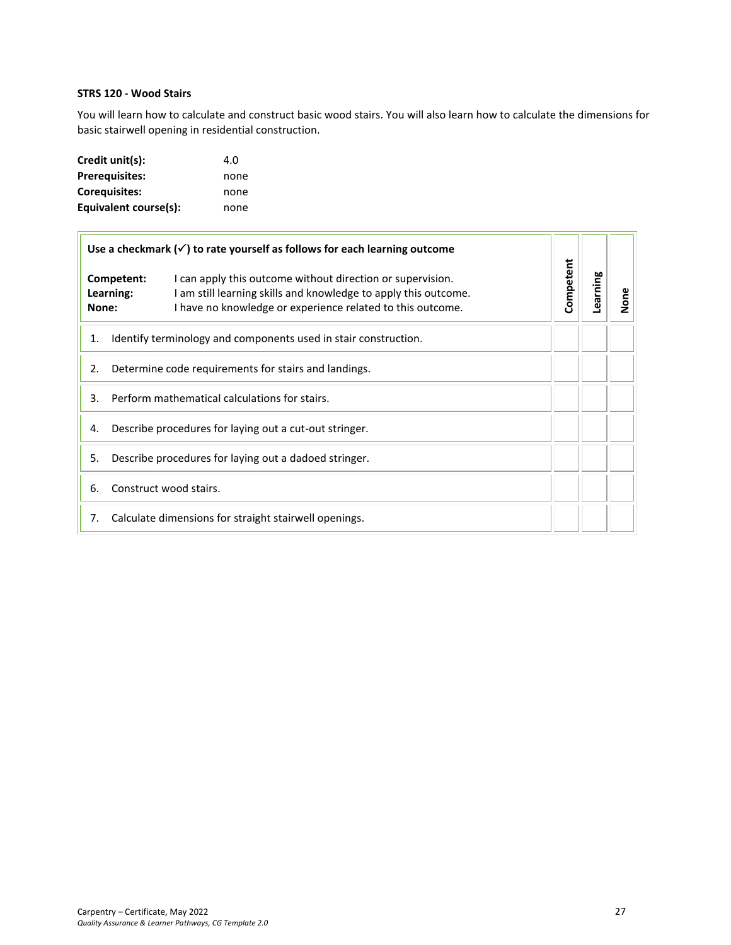## <span id="page-26-0"></span>**STRS 120 - Wood Stairs**

You will learn how to calculate and construct basic wood stairs. You will also learn how to calculate the dimensions for basic stairwell opening in residential construction.

| Credit unit(s):       | 4.O  |
|-----------------------|------|
| <b>Prerequisites:</b> | none |
| <b>Corequisites:</b>  | none |
| Equivalent course(s): | none |

| Use a checkmark $(\checkmark)$ to rate yourself as follows for each learning outcome |                                                                                                                                                                                                                        |           |  |      |
|--------------------------------------------------------------------------------------|------------------------------------------------------------------------------------------------------------------------------------------------------------------------------------------------------------------------|-----------|--|------|
| None:                                                                                | Competent:<br>I can apply this outcome without direction or supervision.<br>I am still learning skills and knowledge to apply this outcome.<br>Learning:<br>I have no knowledge or experience related to this outcome. | Competent |  | None |
| 1.                                                                                   | Identify terminology and components used in stair construction.                                                                                                                                                        |           |  |      |
| 2.                                                                                   | Determine code requirements for stairs and landings.                                                                                                                                                                   |           |  |      |
| 3.                                                                                   | Perform mathematical calculations for stairs.                                                                                                                                                                          |           |  |      |
| 4.                                                                                   | Describe procedures for laying out a cut-out stringer.                                                                                                                                                                 |           |  |      |
| 5.                                                                                   | Describe procedures for laying out a dadoed stringer.                                                                                                                                                                  |           |  |      |
| 6.                                                                                   | Construct wood stairs.                                                                                                                                                                                                 |           |  |      |
| 7.                                                                                   | Calculate dimensions for straight stairwell openings.                                                                                                                                                                  |           |  |      |